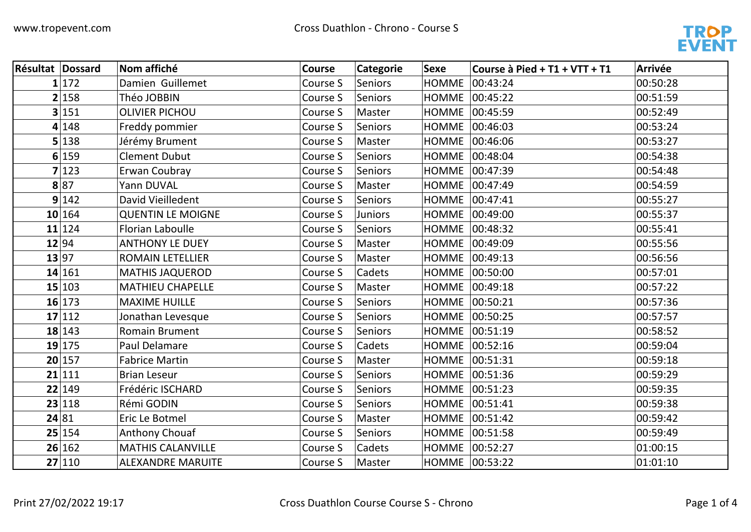

| <b>Résultat Dossard</b> |        | Nom affiché              | <b>Course</b> | <b>Categorie</b> | <b>Sexe</b>      | Course à Pied + T1 + VTT + T1 | <b>Arrivée</b> |
|-------------------------|--------|--------------------------|---------------|------------------|------------------|-------------------------------|----------------|
|                         | 1 172  | Damien Guillemet         | Course S      | Seniors          | HOMME 00:43:24   |                               | 00:50:28       |
|                         | 2 158  | Théo JOBBIN              | Course S      | Seniors          |                  | HOMME 00:45:22                | 00:51:59       |
|                         | 3 151  | <b>OLIVIER PICHOU</b>    | Course S      | Master           |                  | HOMME 00:45:59                | 00:52:49       |
|                         | 4 148  | Freddy pommier           | Course S      | Seniors          | HOMME 00:46:03   |                               | 00:53:24       |
|                         | 5 138  | Jérémy Brument           | Course S      | Master           |                  | HOMME 00:46:06                | 00:53:27       |
|                         | 6 159  | <b>Clement Dubut</b>     | Course S      | Seniors          |                  | HOMME 00:48:04                | 00:54:38       |
|                         | 7 123  | Erwan Coubray            | Course S      | Seniors          | HOMME 00:47:39   |                               | 00:54:48       |
|                         | 8 87   | Yann DUVAL               | Course S      | Master           |                  | HOMME 00:47:49                | 00:54:59       |
|                         | 9 142  | David Vieilledent        | Course S      | Seniors          | HOMME   00:47:41 |                               | 00:55:27       |
|                         | 10 164 | <b>QUENTIN LE MOIGNE</b> | Course S      | <b>Juniors</b>   |                  | HOMME 00:49:00                | 00:55:37       |
|                         | 11 124 | <b>Florian Laboulle</b>  | Course S      | Seniors          |                  | HOMME 00:48:32                | 00:55:41       |
|                         | 12 94  | <b>ANTHONY LE DUEY</b>   | Course S      | Master           | HOMME 00:49:09   |                               | 00:55:56       |
|                         | 13 97  | <b>ROMAIN LETELLIER</b>  | Course S      | Master           | HOMME 00:49:13   |                               | 00:56:56       |
|                         | 14 161 | <b>MATHIS JAQUEROD</b>   | Course S      | Cadets           |                  | HOMME 00:50:00                | 00:57:01       |
|                         | 15 103 | <b>MATHIEU CHAPELLE</b>  | Course S      | Master           |                  | HOMME 00:49:18                | 00:57:22       |
|                         | 16 173 | <b>MAXIME HUILLE</b>     | Course S      | Seniors          | HOMME 00:50:21   |                               | 00:57:36       |
|                         | 17 112 | Jonathan Levesque        | Course S      | <b>Seniors</b>   |                  | HOMME 00:50:25                | 00:57:57       |
|                         | 18 143 | <b>Romain Brument</b>    | Course S      | Seniors          | HOMME   00:51:19 |                               | 00:58:52       |
|                         | 19 175 | Paul Delamare            | Course S      | Cadets           |                  | HOMME 00:52:16                | 00:59:04       |
|                         | 20 157 | <b>Fabrice Martin</b>    | Course S      | Master           | HOMME   00:51:31 |                               | 00:59:18       |
|                         | 21 111 | <b>Brian Leseur</b>      | Course S      | Seniors          |                  | HOMME 00:51:36                | 00:59:29       |
|                         | 22 149 | Frédéric ISCHARD         | Course S      | Seniors          | HOMME 00:51:23   |                               | 00:59:35       |
|                         | 23 118 | Rémi GODIN               | Course S      | Seniors          | HOMME   00:51:41 |                               | 00:59:38       |
|                         | 24 81  | Eric Le Botmel           | Course S      | Master           |                  | HOMME 00:51:42                | 00:59:42       |
|                         | 25 154 | Anthony Chouaf           | Course S      | Seniors          |                  | HOMME 00:51:58                | 00:59:49       |
|                         | 26 162 | <b>MATHIS CALANVILLE</b> | Course S      | Cadets           | HOMME 00:52:27   |                               | 01:00:15       |
|                         | 27 110 | <b>ALEXANDRE MARUITE</b> | Course S      | Master           | HOMME 00:53:22   |                               | 01:01:10       |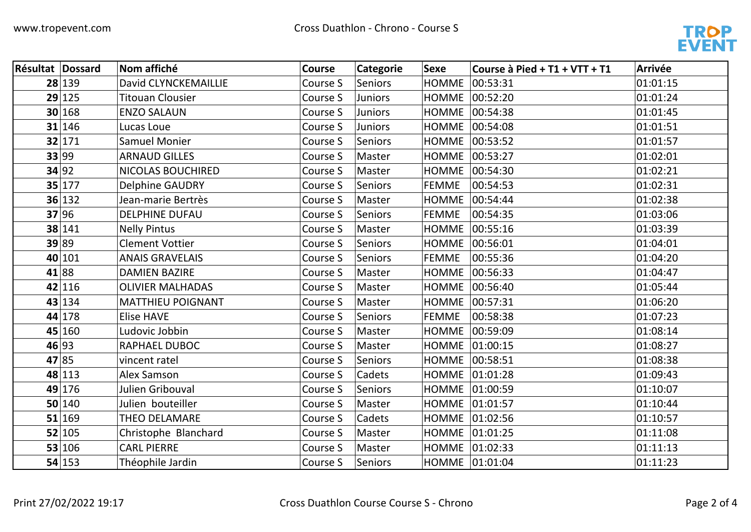

| <b>Résultat Dossard</b> |        | Nom affiché              | <b>Course</b> | <b>Categorie</b> | <b>Sexe</b>      | Course à Pied + T1 + VTT + T1 | <b>Arrivée</b> |
|-------------------------|--------|--------------------------|---------------|------------------|------------------|-------------------------------|----------------|
|                         | 28 139 | David CLYNCKEMAILLIE     | Course S      | <b>Seniors</b>   | <b>HOMME</b>     | 00:53:31                      | 01:01:15       |
|                         | 29 125 | <b>Titouan Clousier</b>  | Course S      | <b>Juniors</b>   | HOMME   00:52:20 |                               | 01:01:24       |
|                         | 30 168 | <b>ENZO SALAUN</b>       | Course S      | <b>Juniors</b>   | HOMME 00:54:38   |                               | 01:01:45       |
|                         | 31 146 | Lucas Loue               | Course S      | <b>Juniors</b>   | HOMME 00:54:08   |                               | 01:01:51       |
|                         | 32 171 | <b>Samuel Monier</b>     | Course S      | Seniors          | HOMME 00:53:52   |                               | 01:01:57       |
|                         | 33 99  | <b>ARNAUD GILLES</b>     | Course S      | Master           | HOMME 00:53:27   |                               | 01:02:01       |
|                         | 34 92  | NICOLAS BOUCHIRED        | Course S      | Master           | HOMME   00:54:30 |                               | 01:02:21       |
|                         | 35 177 | <b>Delphine GAUDRY</b>   | Course S      | Seniors          | <b>FEMME</b>     | 00:54:53                      | 01:02:31       |
|                         | 36 132 | Jean-marie Bertrès       | Course S      | Master           | HOMME 00:54:44   |                               | 01:02:38       |
|                         | 37 96  | <b>DELPHINE DUFAU</b>    | Course S      | <b>Seniors</b>   | <b>FEMME</b>     | 00:54:35                      | 01:03:06       |
|                         | 38 141 | <b>Nelly Pintus</b>      | Course S      | Master           | <b>HOMME</b>     | 00:55:16                      | 01:03:39       |
|                         | 39 89  | <b>Clement Vottier</b>   | Course S      | Seniors          | HOMME 00:56:01   |                               | 01:04:01       |
|                         | 40 101 | <b>ANAIS GRAVELAIS</b>   | Course S      | Seniors          | <b>FEMME</b>     | 00:55:36                      | 01:04:20       |
|                         | 41 88  | <b>DAMIEN BAZIRE</b>     | Course S      | Master           | <b>HOMME</b>     | 00:56:33                      | 01:04:47       |
|                         | 42 116 | <b>OLIVIER MALHADAS</b>  | Course S      | Master           | HOMME 00:56:40   |                               | 01:05:44       |
|                         | 43 134 | <b>MATTHIEU POIGNANT</b> | Course S      | Master           | <b>HOMME</b>     | 00:57:31                      | 01:06:20       |
|                         | 44 178 | <b>Elise HAVE</b>        | Course S      | <b>Seniors</b>   | <b>FEMME</b>     | 00:58:38                      | 01:07:23       |
|                         | 45 160 | Ludovic Jobbin           | Course S      | Master           | HOMME 00:59:09   |                               | 01:08:14       |
|                         | 46 93  | RAPHAEL DUBOC            | Course S      | Master           | HOMME 01:00:15   |                               | 01:08:27       |
|                         | 47 85  | vincent ratel            | Course S      | <b>Seniors</b>   | HOMME   00:58:51 |                               | 01:08:38       |
|                         | 48 113 | Alex Samson              | Course S      | Cadets           | HOMME 01:01:28   |                               | 01:09:43       |
|                         | 49 176 | Julien Gribouval         | Course S      | <b>Seniors</b>   | HOMME 01:00:59   |                               | 01:10:07       |
|                         | 50 140 | Julien bouteiller        | Course S      | Master           | HOMME 01:01:57   |                               | 01:10:44       |
|                         | 51 169 | THEO DELAMARE            | Course S      | Cadets           | HOMME 01:02:56   |                               | 01:10:57       |
|                         | 52 105 | Christophe Blanchard     | Course S      | Master           | HOMME 01:01:25   |                               | 01:11:08       |
|                         | 53 106 | <b>CARL PIERRE</b>       | Course S      | Master           | HOMME 01:02:33   |                               | 01:11:13       |
|                         | 54 153 | Théophile Jardin         | Course S      | <b>Seniors</b>   | HOMME 01:01:04   |                               | 01:11:23       |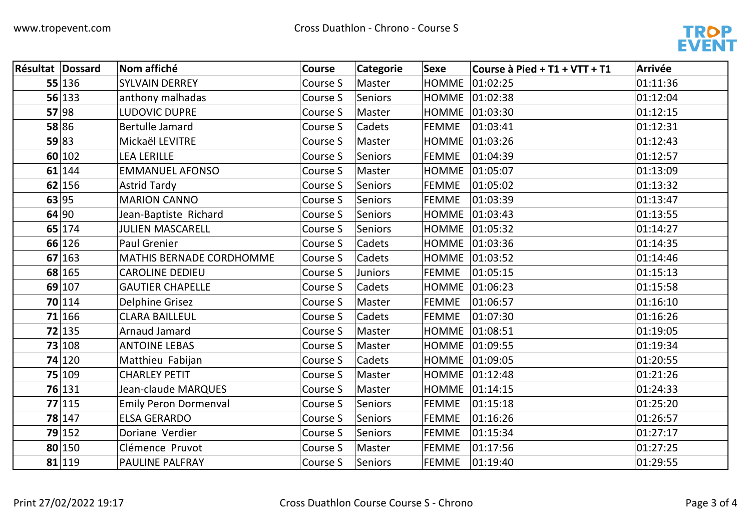

| Résultat Dossard |        | Nom affiché                     | <b>Course</b> | Categorie      | <b>Sexe</b>  | Course à Pied + T1 + VTT + T1 | <b>Arrivée</b> |
|------------------|--------|---------------------------------|---------------|----------------|--------------|-------------------------------|----------------|
|                  | 55 136 | <b>SYLVAIN DERREY</b>           | Course S      | Master         | <b>HOMME</b> | 01:02:25                      | 01:11:36       |
|                  | 56 133 | anthony malhadas                | Course S      | Seniors        |              | HOMME 01:02:38                | 01:12:04       |
|                  | 57 98  | <b>LUDOVIC DUPRE</b>            | Course S      | Master         |              | HOMME 01:03:30                | 01:12:15       |
|                  | 58 86  | <b>Bertulle Jamard</b>          | Course S      | Cadets         | <b>FEMME</b> | 01:03:41                      | 01:12:31       |
|                  | 59 83  | Mickaël LEVITRE                 | Course S      | Master         |              | HOMME 01:03:26                | 01:12:43       |
|                  | 60 102 | <b>LEA LERILLE</b>              | Course S      | Seniors        | <b>FEMME</b> | 01:04:39                      | 01:12:57       |
|                  | 61 144 | <b>EMMANUEL AFONSO</b>          | Course S      | Master         |              | HOMME 01:05:07                | 01:13:09       |
|                  | 62 156 | <b>Astrid Tardy</b>             | Course S      | Seniors        | <b>FEMME</b> | 01:05:02                      | 01:13:32       |
|                  | 63 95  | <b>MARION CANNO</b>             | Course S      | Seniors        | <b>FEMME</b> | 01:03:39                      | 01:13:47       |
|                  | 64 90  | Jean-Baptiste Richard           | Course S      | Seniors        |              | HOMME 01:03:43                | 01:13:55       |
|                  | 65 174 | JULIEN MASCARELL                | Course S      | Seniors        |              | HOMME 01:05:32                | 01:14:27       |
|                  | 66 126 | <b>Paul Grenier</b>             | Course S      | Cadets         |              | HOMME 01:03:36                | 01:14:35       |
|                  | 67 163 | <b>MATHIS BERNADE CORDHOMME</b> | Course S      | Cadets         |              | HOMME 01:03:52                | 01:14:46       |
|                  | 68 165 | <b>CAROLINE DEDIEU</b>          | Course S      | <b>Juniors</b> | <b>FEMME</b> | 01:05:15                      | 01:15:13       |
|                  | 69 107 | <b>GAUTIER CHAPELLE</b>         | Course S      | Cadets         |              | HOMME 01:06:23                | 01:15:58       |
|                  | 70 114 | <b>Delphine Grisez</b>          | Course S      | Master         | <b>FEMME</b> | 01:06:57                      | 01:16:10       |
|                  | 71 166 | <b>CLARA BAILLEUL</b>           | Course S      | Cadets         | <b>FEMME</b> | 01:07:30                      | 01:16:26       |
|                  | 72 135 | Arnaud Jamard                   | Course S      | Master         |              | HOMME 01:08:51                | 01:19:05       |
|                  | 73 108 | <b>ANTOINE LEBAS</b>            | Course S      | Master         |              | HOMME 01:09:55                | 01:19:34       |
|                  | 74 120 | Matthieu Fabijan                | Course S      | Cadets         |              | HOMME 01:09:05                | 01:20:55       |
|                  | 75 109 | <b>CHARLEY PETIT</b>            | Course S      | Master         |              | HOMME 01:12:48                | 01:21:26       |
|                  | 76 131 | Jean-claude MARQUES             | Course S      | Master         |              | HOMME 01:14:15                | 01:24:33       |
|                  | 77 115 | <b>Emily Peron Dormenval</b>    | Course S      | <b>Seniors</b> | <b>FEMME</b> | 01:15:18                      | 01:25:20       |
|                  | 78 147 | <b>ELSA GERARDO</b>             | Course S      | Seniors        | <b>FEMME</b> | 01:16:26                      | 01:26:57       |
|                  | 79 152 | Doriane Verdier                 | Course S      | Seniors        | <b>FEMME</b> | 01:15:34                      | 01:27:17       |
|                  | 80 150 | Clémence Pruvot                 | Course S      | Master         | <b>FEMME</b> | 01:17:56                      | 01:27:25       |
|                  | 81 119 | <b>PAULINE PALFRAY</b>          | Course S      | Seniors        | <b>FEMME</b> | 01:19:40                      | 01:29:55       |